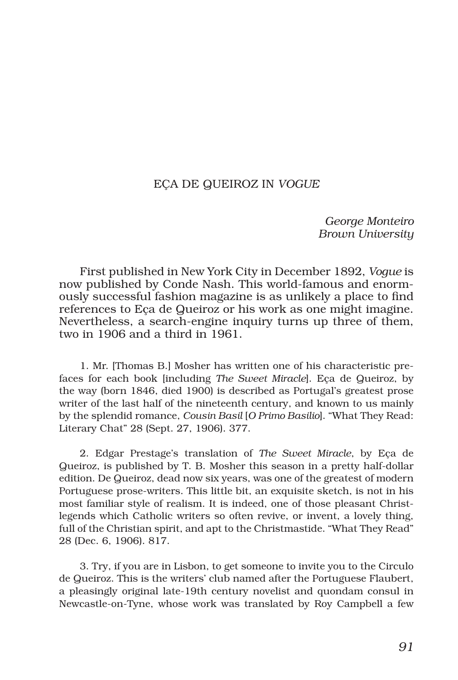## EÇA DE QUEIROZ IN *VOGUE*

*George Monteiro Brown University*

First published in New York City in December 1892, *Vogue* is now published by Conde Nash. This world-famous and enormously successful fashion magazine is as unlikely a place to find references to Eça de Queiroz or his work as one might imagine. Nevertheless, a search-engine inquiry turns up three of them, two in 1906 and a third in 1961.

1. Mr. [Thomas B.] Mosher has written one of his characteristic prefaces for each book [including *The Sweet Miracle*]. Eça de Queiroz, by the way (born 1846, died 1900) is described as Portugal's greatest prose writer of the last half of the nineteenth century, and known to us mainly by the splendid romance, *Cousin Basil* [*O Primo Basilio*]. "What They Read: Literary Chat" 28 (Sept. 27, 1906). 377.

2. Edgar Prestage's translation of *The Sweet Miracle*, by Eça de Queiroz, is published by T. B. Mosher this season in a pretty half-dollar edition. De Queiroz, dead now six years, was one of the greatest of modern Portuguese prose-writers. This little bit, an exquisite sketch, is not in his most familiar style of realism. It is indeed, one of those pleasant Christlegends which Catholic writers so often revive, or invent, a lovely thing, full of the Christian spirit, and apt to the Christmastide. "What They Read" 28 (Dec. 6, 1906). 817.

3. Try, if you are in Lisbon, to get someone to invite you to the Circulo de Queiroz. This is the writers' club named after the Portuguese Flaubert, a pleasingly original late-19th century novelist and quondam consul in Newcastle-on-Tyne, whose work was translated by Roy Campbell a few